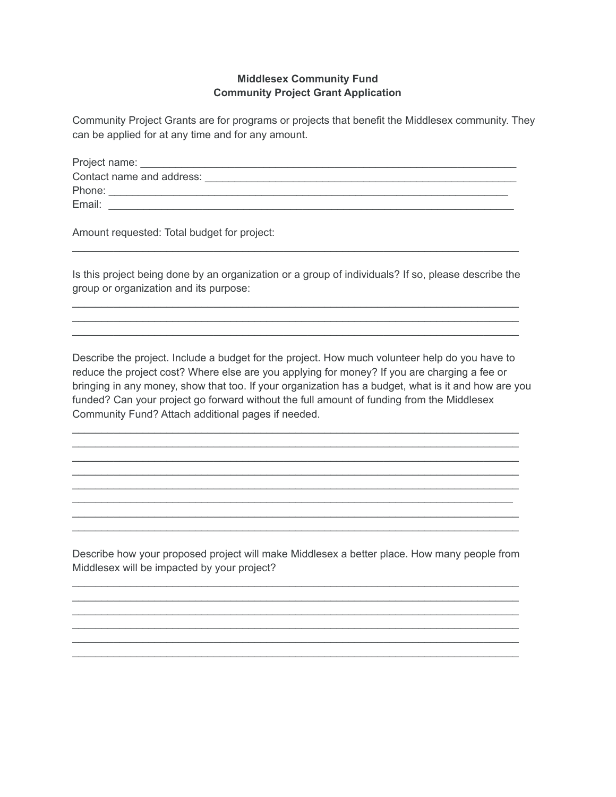## **Middlesex Community Fund Community Project Grant Application**

Community Project Grants are for programs or projects that benefit the Middlesex community. They can be applied for at any time and for any amount.

| Project name:             |  |
|---------------------------|--|
| Contact name and address: |  |
| Phone:                    |  |
| Email:                    |  |

Amount requested: Total budget for project:

Is this project being done by an organization or a group of individuals? If so, please describe the group or organization and its purpose:

 $\mathcal{L}_\text{max}$  , and the set of the set of the set of the set of the set of the set of the set of the set of the set of \_\_\_\_\_\_\_\_\_\_\_\_\_\_\_\_\_\_\_\_\_\_\_\_\_\_\_\_\_\_\_\_\_\_\_\_\_\_\_\_\_\_\_\_\_\_\_\_\_\_\_\_\_\_\_\_\_\_\_\_\_\_\_\_\_\_\_\_\_\_\_\_\_\_\_\_ \_\_\_\_\_\_\_\_\_\_\_\_\_\_\_\_\_\_\_\_\_\_\_\_\_\_\_\_\_\_\_\_\_\_\_\_\_\_\_\_\_\_\_\_\_\_\_\_\_\_\_\_\_\_\_\_\_\_\_\_\_\_\_\_\_\_\_\_\_\_\_\_\_\_\_\_

 $\mathcal{L}_\text{max}$  , and the set of the set of the set of the set of the set of the set of the set of the set of the set of

Describe the project. Include a budget for the project. How much volunteer help do you have to reduce the project cost? Where else are you applying for money? If you are charging a fee or bringing in any money, show that too. If your organization has a budget, what is it and how are you funded? Can your project go forward without the full amount of funding from the Middlesex Community Fund? Attach additional pages if needed.

\_\_\_\_\_\_\_\_\_\_\_\_\_\_\_\_\_\_\_\_\_\_\_\_\_\_\_\_\_\_\_\_\_\_\_\_\_\_\_\_\_\_\_\_\_\_\_\_\_\_\_\_\_\_\_\_\_\_\_\_\_\_\_\_\_\_\_\_\_\_\_\_\_\_\_\_ \_\_\_\_\_\_\_\_\_\_\_\_\_\_\_\_\_\_\_\_\_\_\_\_\_\_\_\_\_\_\_\_\_\_\_\_\_\_\_\_\_\_\_\_\_\_\_\_\_\_\_\_\_\_\_\_\_\_\_\_\_\_\_\_\_\_\_\_\_\_\_\_\_\_\_\_ \_\_\_\_\_\_\_\_\_\_\_\_\_\_\_\_\_\_\_\_\_\_\_\_\_\_\_\_\_\_\_\_\_\_\_\_\_\_\_\_\_\_\_\_\_\_\_\_\_\_\_\_\_\_\_\_\_\_\_\_\_\_\_\_\_\_\_\_\_\_\_\_\_\_\_\_ \_\_\_\_\_\_\_\_\_\_\_\_\_\_\_\_\_\_\_\_\_\_\_\_\_\_\_\_\_\_\_\_\_\_\_\_\_\_\_\_\_\_\_\_\_\_\_\_\_\_\_\_\_\_\_\_\_\_\_\_\_\_\_\_\_\_\_\_\_\_\_\_\_\_\_\_ \_\_\_\_\_\_\_\_\_\_\_\_\_\_\_\_\_\_\_\_\_\_\_\_\_\_\_\_\_\_\_\_\_\_\_\_\_\_\_\_\_\_\_\_\_\_\_\_\_\_\_\_\_\_\_\_\_\_\_\_\_\_\_\_\_\_\_\_\_\_\_\_\_\_\_\_ \_\_\_\_\_\_\_\_\_\_\_\_\_\_\_\_\_\_\_\_\_\_\_\_\_\_\_\_\_\_\_\_\_\_\_\_\_\_\_\_\_\_\_\_\_\_\_\_\_\_\_\_\_\_\_\_\_\_\_\_\_\_\_\_\_\_\_\_\_\_\_\_\_\_\_ \_\_\_\_\_\_\_\_\_\_\_\_\_\_\_\_\_\_\_\_\_\_\_\_\_\_\_\_\_\_\_\_\_\_\_\_\_\_\_\_\_\_\_\_\_\_\_\_\_\_\_\_\_\_\_\_\_\_\_\_\_\_\_\_\_\_\_\_\_\_\_\_\_\_\_\_ \_\_\_\_\_\_\_\_\_\_\_\_\_\_\_\_\_\_\_\_\_\_\_\_\_\_\_\_\_\_\_\_\_\_\_\_\_\_\_\_\_\_\_\_\_\_\_\_\_\_\_\_\_\_\_\_\_\_\_\_\_\_\_\_\_\_\_\_\_\_\_\_\_\_\_\_

Describe how your proposed project will make Middlesex a better place. How many people from Middlesex will be impacted by your project?

\_\_\_\_\_\_\_\_\_\_\_\_\_\_\_\_\_\_\_\_\_\_\_\_\_\_\_\_\_\_\_\_\_\_\_\_\_\_\_\_\_\_\_\_\_\_\_\_\_\_\_\_\_\_\_\_\_\_\_\_\_\_\_\_\_\_\_\_\_\_\_\_\_\_\_\_ \_\_\_\_\_\_\_\_\_\_\_\_\_\_\_\_\_\_\_\_\_\_\_\_\_\_\_\_\_\_\_\_\_\_\_\_\_\_\_\_\_\_\_\_\_\_\_\_\_\_\_\_\_\_\_\_\_\_\_\_\_\_\_\_\_\_\_\_\_\_\_\_\_\_\_\_ \_\_\_\_\_\_\_\_\_\_\_\_\_\_\_\_\_\_\_\_\_\_\_\_\_\_\_\_\_\_\_\_\_\_\_\_\_\_\_\_\_\_\_\_\_\_\_\_\_\_\_\_\_\_\_\_\_\_\_\_\_\_\_\_\_\_\_\_\_\_\_\_\_\_\_\_ \_\_\_\_\_\_\_\_\_\_\_\_\_\_\_\_\_\_\_\_\_\_\_\_\_\_\_\_\_\_\_\_\_\_\_\_\_\_\_\_\_\_\_\_\_\_\_\_\_\_\_\_\_\_\_\_\_\_\_\_\_\_\_\_\_\_\_\_\_\_\_\_\_\_\_\_ \_\_\_\_\_\_\_\_\_\_\_\_\_\_\_\_\_\_\_\_\_\_\_\_\_\_\_\_\_\_\_\_\_\_\_\_\_\_\_\_\_\_\_\_\_\_\_\_\_\_\_\_\_\_\_\_\_\_\_\_\_\_\_\_\_\_\_\_\_\_\_\_\_\_\_\_ \_\_\_\_\_\_\_\_\_\_\_\_\_\_\_\_\_\_\_\_\_\_\_\_\_\_\_\_\_\_\_\_\_\_\_\_\_\_\_\_\_\_\_\_\_\_\_\_\_\_\_\_\_\_\_\_\_\_\_\_\_\_\_\_\_\_\_\_\_\_\_\_\_\_\_\_